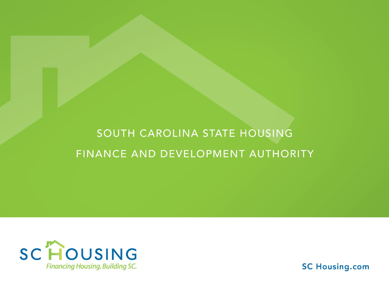#### SOUTH CAROLINA STATE HOUSING FINANCE AND DEVELOPMENT AUTHORITY



**SC Housing.com**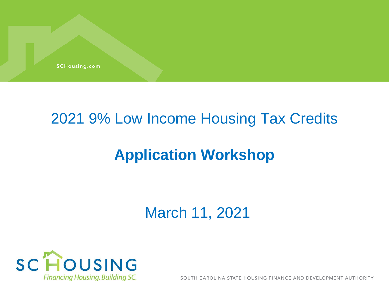

#### 2021 9% Low Income Housing Tax Credits

#### **Application Workshop**

March 11, 2021



SOUTH CAROLINA STATE HOUSING FINANCE AND DEVELOPMENT AUTHORITY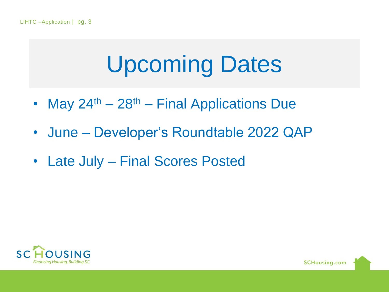# Upcoming Dates

- May  $24^{th} 28^{th} -$  Final Applications Due
- June Developer's Roundtable 2022 QAP
- Late July Final Scores Posted

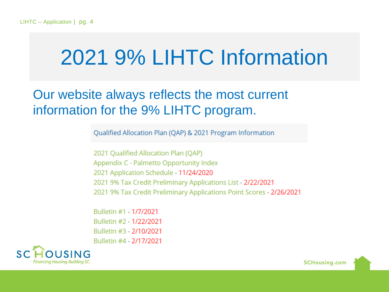# 2021 9% LIHTC Information

#### Our website always reflects the most current information for the 9% LIHTC program.

Qualified Allocation Plan (QAP) & 2021 Program Information

2021 Qualified Allocation Plan (QAP) Appendix C - Palmetto Opportunity Index 2021 Application Schedule - 11/24/2020 2021 9% Tax Credit Preliminary Applications List - 2/22/2021 2021 9% Tax Credit Preliminary Applications Point Scores - 2/26/2021

Bulletin #1 - 1/7/2021 Bulletin #2 - 1/22/2021 Bulletin #3 - 2/10/2021 Bulletin #4 - 2/17/2021

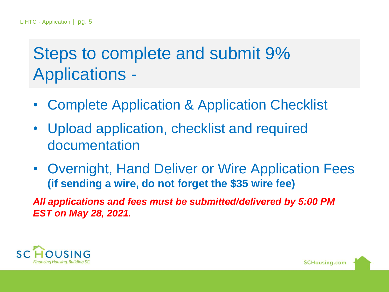#### Steps to complete and submit 9% Applications -

- Complete Application & Application Checklist
- Upload application, checklist and required documentation
- Overnight, Hand Deliver or Wire Application Fees **(if sending a wire, do not forget the \$35 wire fee)**

*All applications and fees must be submitted/delivered by 5:00 PM EST on May 28, 2021.*

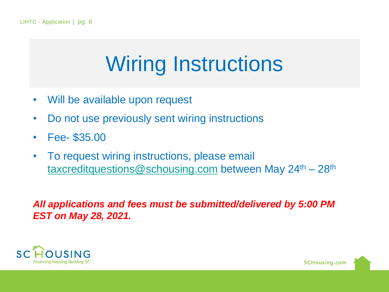# Wiring Instructions

- Will be available upon request
- Do not use previously sent wiring instructions
- Fee- \$35.00
- To request wiring instructions, please email [taxcreditquestions@schousing.com](mailto:taxcreditquestions@schousing.com) between May 24<sup>th</sup> – 28<sup>th</sup>

#### *All applications and fees must be submitted/delivered by 5:00 PM EST on May 28, 2021.*

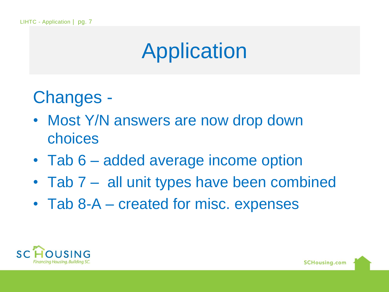# Application

Changes -

- Most Y/N answers are now drop down choices
- Tab 6 added average income option
- Tab 7 all unit types have been combined
- Tab 8-A created for misc. expenses

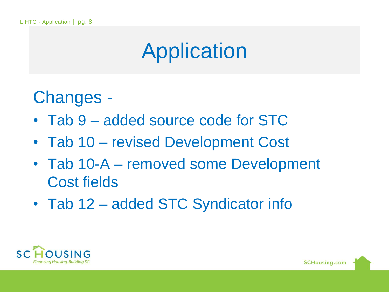# Application

Changes -

- Tab 9 added source code for STC
- Tab 10 revised Development Cost
- Tab 10-A removed some Development Cost fields
- Tab 12 added STC Syndicator info

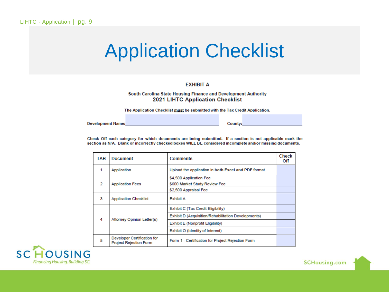#### Application Checklist

#### **EXHIBIT A**

#### South Carolina State Housing Finance and Development Authority 2021 LIHTC Application Checklist

The Application Checklist must be submitted with the Tax Credit Application.

**Development Name:** 

County:

Check Off each category for which documents are being submitted. If a section is not applicable mark the section as N/A. Blank or incorrectly checked boxes WILL BE considered incomplete and/or missing documents.

| TAB | <b>Document</b>                                              | <b>Comments</b>                                      | Check<br>Off |
|-----|--------------------------------------------------------------|------------------------------------------------------|--------------|
|     | Application                                                  | Upload the application in both Excel and PDF format. |              |
|     |                                                              | \$4,500 Application Fee                              |              |
| 2   | <b>Application Fees</b>                                      | \$600 Market Study Review Fee                        |              |
|     |                                                              | \$2,500 Appraisal Fee                                |              |
| з   | <b>Application Checklist</b>                                 | <b>Exhibit A</b>                                     |              |
|     |                                                              | Exhibit C (Tax Credit Eligibility)                   |              |
| 4   | Attorney Opinion Letter(s)                                   | Exhibit D (Acquisition/Rehabilitation Developments)  |              |
|     |                                                              | Exhibit E (Nonprofit Eligibility)                    |              |
|     |                                                              | Exhibit O (Identity of Interest)                     |              |
| 5   | Developer Certification for<br><b>Project Rejection Form</b> | Form 1 - Certification for Project Rejection Form    |              |

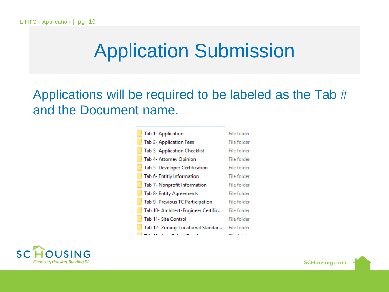### Application Submission

Applications will be required to be labeled as the Tab # and the Document name.

| <b>Tab 1- Application</b>           | File folder |
|-------------------------------------|-------------|
| Tab 2- Application Fees             | File folder |
| Tab 3- Application Checklist        | File folder |
| Tab 4- Attorney Opinion             | File folder |
| Tab 5- Developer Certification      | File folder |
| Tab 6- Entitiy Information          | File folder |
| Tab 7- Nonprofit Information        | File folder |
| Tab 8- Entity Agreements            | File folder |
| Tab 9- Previous TC Participation    | File folder |
| Tab 10- Architect-Engineer Certific | File folder |
| Tab 11- Site Control                | File folder |
| Tab 12- Zoning-Locational Standar   | File folder |
|                                     |             |

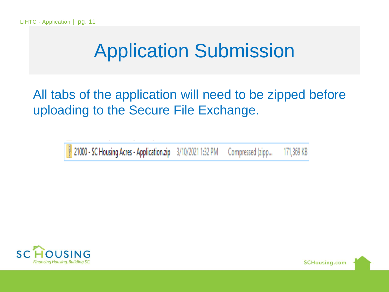### Application Submission

All tabs of the application will need to be zipped before uploading to the Secure File Exchange.



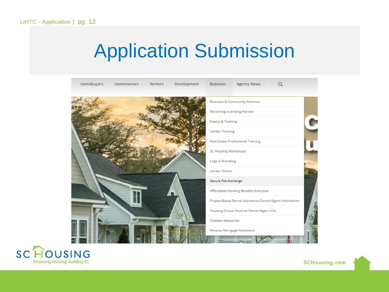### Application Submission

| Homebuyers ~<br>Homeowners > Renters > | Development - | Agency News v<br>Business v<br>$\alpha$                 |
|----------------------------------------|---------------|---------------------------------------------------------|
|                                        |               | <b>Business &amp; Community Partners</b>                |
|                                        |               | Becoming a Lending Partner                              |
|                                        |               | Events & Training                                       |
|                                        |               | Lender Training                                         |
|                                        |               | Real Estate Professional Training                       |
|                                        |               | SC Housing Workshops                                    |
|                                        |               | Logo & Branding                                         |
|                                        |               | Lender Online                                           |
|                                        |               | Secure File Exchange                                    |
|                                        |               | Affordable Housing Benefits Everyone                    |
|                                        |               | Project-Based Rental Assistance Owner/Agent Information |
|                                        |               | Housing Choice Voucher Owner/Agent Info                 |
|                                        |               | <b>Disaster Resources</b>                               |
|                                        |               | Reverse Mortgage Statement                              |
|                                        |               |                                                         |

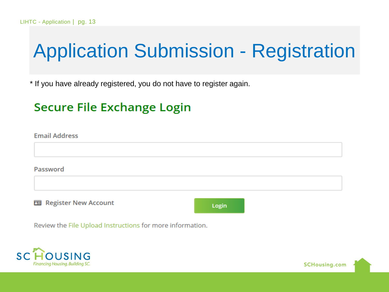## Application Submission - Registration

\* If you have already registered, you do not have to register again.

#### Secure File Exchange Login

**Email Address** Password 国 Register New Account Login

**SCHousing.com** 

Review the File Upload Instructions for more information.

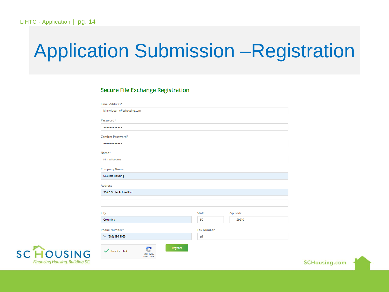# Application Submission –Registration

#### **Secure File Exchange Registration**

| kim.wilbourne@schousing.com                                         |                   |                 |  |
|---------------------------------------------------------------------|-------------------|-----------------|--|
| Password*                                                           |                   |                 |  |
| ------------                                                        |                   |                 |  |
| Confirm Password*                                                   |                   |                 |  |
|                                                                     |                   |                 |  |
| Name*                                                               |                   |                 |  |
| Kim Wilbourne                                                       |                   |                 |  |
| <b>Company Name</b>                                                 |                   |                 |  |
| <b>SC State Housing</b>                                             |                   |                 |  |
| <b>Address</b>                                                      |                   |                 |  |
| 300 C Outlet Pointe Blvd                                            |                   |                 |  |
|                                                                     |                   |                 |  |
|                                                                     |                   |                 |  |
| City                                                                | <b>State</b>      | <b>Zip Code</b> |  |
| Columbia                                                            | SC                | 29210           |  |
| Phone Number*                                                       | <b>Fax Number</b> |                 |  |
| € (803) 896-9083                                                    | 18                |                 |  |
|                                                                     | Register          |                 |  |
| $\checkmark$ l'm not a robot<br><b>reCAPTCHA</b><br>Privacy . Terms |                   |                 |  |



**SCHousing.com**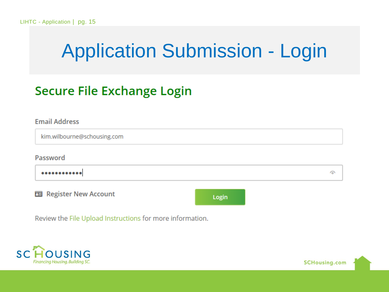# Application Submission - Login

#### **Secure File Exchange Login**

| <b>Email Address</b>        |       |
|-----------------------------|-------|
| kim.wilbourne@schousing.com |       |
| Password                    |       |
|                             | ര     |
| 国 Register New Account      | Login |

Review the File Upload Instructions for more information.

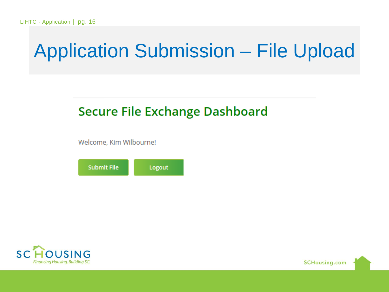#### **Secure File Exchange Dashboard**

Welcome, Kim Wilbourne!





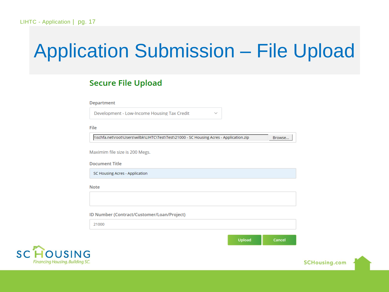$\checkmark$ 

#### **Secure File Upload**

| Department |  |  |  |
|------------|--|--|--|
|            |  |  |  |

Development - Low-Income Housing Tax Credit

File

\\schfa.net\root\Users\wilbk\LIHTC\Test\Test\21000 - SC Housing Acres - Application.zip

Maximim file size is 200 Megs.

**Document Title** 

SC Housing Acres - Application

**Note** 

ID Number (Contract/Customer/Loan/Project)

21000

Upload Cancel

Browse...



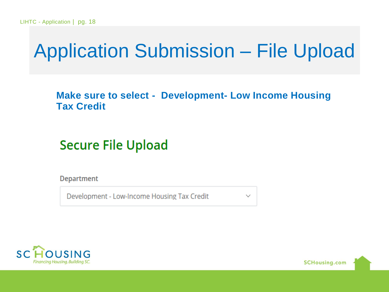**Make sure to select - Development- Low Income Housing Tax Credit** 

**Secure File Upload** 

**Department** 

Development - Low-Income Housing Tax Credit



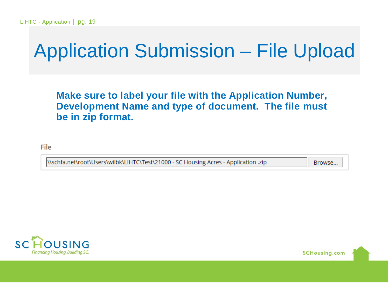**Make sure to label your file with the Application Number, Development Name and type of document. The file must be in zip format.**

File

\\schfa.net\root\Users\wilbk\LIHTC\Test\21000 - SC Housing Acres - Application .zip

Browse...



**SCHousing.com**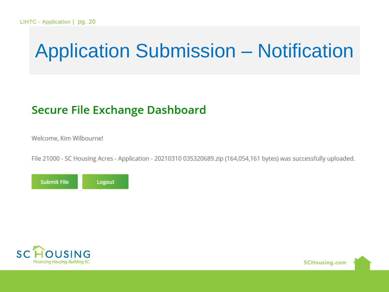# Application Submission – Notification

#### **Secure File Exchange Dashboard**

Welcome, Kim Wilbourne!

File 21000 - SC Housing Acres - Application - 20210310 035320689.zip (164,054,161 bytes) was successfully uploaded.





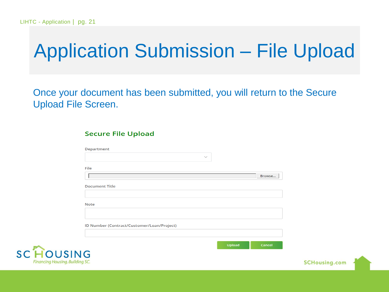$SC$ 

Financina Housina

## Application Submission – File Upload

Once your document has been submitted, you will return to the Secure Upload File Screen.

#### **Secure File Upload**

| <b>Department</b>                          |              |        |  |
|--------------------------------------------|--------------|--------|--|
|                                            | $\checkmark$ |        |  |
| File                                       |              |        |  |
|                                            |              | Browse |  |
|                                            |              |        |  |
| <b>Document Title</b>                      |              |        |  |
|                                            |              |        |  |
| <b>Note</b>                                |              |        |  |
|                                            |              |        |  |
|                                            |              |        |  |
| ID Number (Contract/Customer/Loan/Project) |              |        |  |
|                                            |              |        |  |
|                                            | Upload       | Cancel |  |
|                                            |              |        |  |
| <b>JSING</b>                               |              |        |  |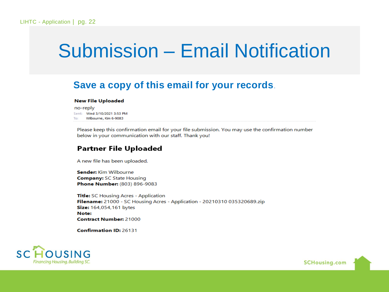#### Submission – Email Notification

#### **Save a copy of this email for your records**.

#### **New File Uploaded**

no-reply Sent: Wed 3/10/2021 3:53 PM To: Wilbourne, Kim 6-9083

Please keep this confirmation email for your file submission. You may use the confirmation number below in your communication with our staff. Thank you!

#### **Partner File Uploaded**

A new file has been uploaded.

Sender: Kim Wilbourne **Company: SC State Housing** Phone Number: (803) 896-9083

Title: SC Housing Acres - Application Filename: 21000 - SC Housing Acres - Application - 20210310 035320689.zip Size: 164,054,161 bytes Note: **Contract Number: 21000** 

**Confirmation ID: 26131** 



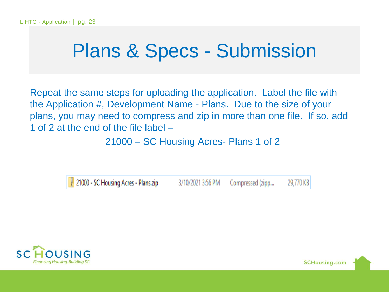#### Plans & Specs - Submission

Repeat the same steps for uploading the application. Label the file with the Application #, Development Name - Plans. Due to the size of your plans, you may need to compress and zip in more than one file. If so, add 1 of 2 at the end of the file label –

21000 – SC Housing Acres- Plans 1 of 2

21000 - SC Housing Acres - Plans.zip 3/10/2021 3:56 PM Compressed (zipp... 29,770 KB

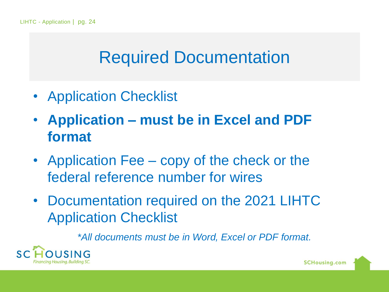#### Required Documentation

- Application Checklist
- **Application – must be in Excel and PDF format**
- Application Fee copy of the check or the federal reference number for wires
- Documentation required on the 2021 LIHTC Application Checklist

*\*All documents must be in Word, Excel or PDF format.*